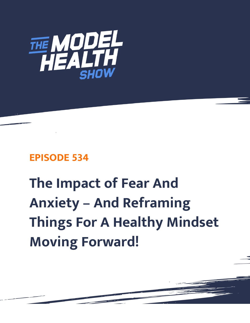

# **EPISODE 534**

# **The Impact of Fear And Anxiety – And Reframing Things For A Healthy Mindset Moving Forward!**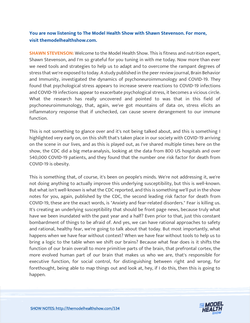## **You are now listening to The Model Health Show with Shawn Stevenson. For more, visit themodelhealthshow.com.**

**SHAWN STEVENSON:** Welcome to the Model Health Show. This is fitness and nutrition expert, Shawn Stevenson, and I'm so grateful for you tuning in with me today. Now more than ever we need tools and strategies to help us to adapt and to overcome the rampant degrees of stress that we're exposed to today. A study published in the peer review journal, Brain Behavior and Immunity, investigated the dynamics of psychoneuroimmunology and COVID-19. They found that psychological stress appears to increase severe reactions to COVID-19 infections and COVID-19 infections appear to exacerbate psychological stress, it becomes a vicious circle. What the research has really uncovered and pointed to was that in this field of psychoneuroimmunology, that, again, we've got mountains of data on, stress elicits an inflammatory response that if unchecked, can cause severe derangement to our immune function.

This is not something to glance over and it's not being talked about, and this is something I highlighted very early on, on this shift that's taken place in our society with COVID-19 arriving on the scene in our lives, and as this is played out, as I've shared multiple times here on the show, the CDC did a big meta-analysis, looking at the data from 800 US hospitals and over 540,000 COVID-19 patients, and they found that the number one risk factor for death from COVID-19 is obesity.

This is something that, of course, it's been on people's minds. We're not addressing it, we're not doing anything to actually improve this underlying susceptibility, but this is well-known. But what isn't well-known is what the CDC reported, and this is something we'll put in the show notes for you, again, published by the CDC, the second leading risk factor for death from COVID-19, these are the exact words, is "Anxiety and fear-related disorders." Fear is killing us. It's creating an underlying susceptibility that should be front page news, because truly what have we been inundated with the past year and a half? Even prior to that, just this constant bombardment of things to be afraid of. And yes, we can have rational approaches to safety and rational, healthy fear, we're going to talk about that today. But most importantly, what happens when we have fear without context? When we have fear without tools to help us to bring a logic to the table when we shift our brains? Because what fear does is it shifts the function of our brain overall to more primitive parts of the brain, that prefrontal cortex, the more evolved human part of our brain that makes us who we are, that's responsible for executive function, for social control, for distinguishing between right and wrong, for forethought, being able to map things out and look at, hey, if I do this, then this is going to happen.

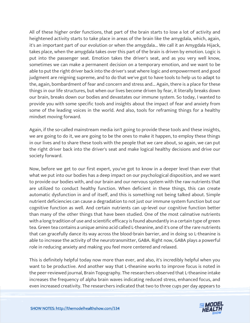All of these higher order functions, that part of the brain starts to lose a lot of activity and heightened activity starts to take place in areas of the brain like the amygdala, which, again, it's an important part of our evolution or when the amygdala... We call it an Amygdala Hijack, takes place, when the amygdala takes over this part of the brain is driven by emotion. Logic is put into the passenger seat. Emotion takes the driver's seat, and as you very well know, sometimes we can make a permanent decision on a temporary emotion, and we want to be able to put the right driver back into the driver's seat where logic and empowerment and good judgment are reigning supreme, and to do that we've got to have tools to help us to adapt to the, again, bombardment of fear and concern and stress and... Again, there is a place for these things in our life structures, but when our lives become driven by fear, it literally breaks down our brain, breaks down our bodies and devastates our immune system. So today, I wanted to provide you with some specific tools and insights about the impact of fear and anxiety from some of the leading voices in the world. And also, tools for reframing things for a healthy mindset moving forward.

Again, if the so-called mainstream media isn't going to provide these tools and these insights, we are going to do it, we are going to be the ones to make it happen, to employ these things in our lives and to share these tools with the people that we care about, so again, we can put the right driver back into the driver's seat and make logical healthy decisions and drive our society forward.

Now, before we get to our first expert, you've got to know in a deeper level than ever that what we put into our bodies has a deep impact on our psychological disposition, and we want to provide our bodies with, and our brain and our nervous system with the raw nutrients that are utilized to conduct healthy function. When deficient in these things, this can create automatic dysfunction in and of itself, and this is something not being talked about. Simple nutrient deficiencies can cause a degradation to not just our immune system function but our cognitive function as well. And certain nutrients can up-level our cognitive function better than many of the other things that have been studied. One of the most calmative nutrients with a long tradition of use and scientific efficacy is found abundantly in a certain type of green tea. Green tea contains a unique amino acid called L-theanine, and it's one of the rare nutrients that can gracefully dance its way across the blood-brain barrier, and in doing so L-theanine is able to increase the activity of the neurotransmitter, GABA. Right now, GABA plays a powerful role in reducing anxiety and making you feel more centered and relaxed.

This is definitely helpful today now more than ever, and also, it's incredibly helpful when you want to be productive. And another way that L-theanine works to improve focus is noted in the peer-reviewed journal, Brain Topography. The researchers observed that L-theanine intake increases the frequency of alpha brain waves indicating reduced stress, enhanced focus, and [even increased creativity. The researchers indicated that two to three cups per day appears to](https://themodelhealthshow.com/healthy-mindset/)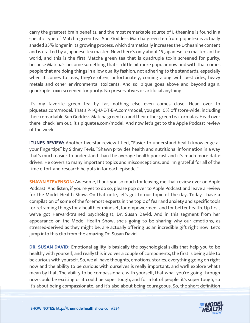carry the greatest brain benefits, and the most remarkable source of L-theanine is found in a specific type of Matcha green tea. Sun Goddess Matcha green tea from piquetea is actually shaded 35% longer in its growing process, which dramatically increases the L-theanine content and is crafted by a Japanese tea master. Now there's only about 15 Japanese tea masters in the world, and this is the first Matcha green tea that is quadruple toxin screened for purity, because Matcha's become something that's a little bit more popular now and with that comes people that are doing things in a low quality fashion, not adhering to the standards, especially when it comes to teas, they're often, unfortunately, coming along with pesticides, heavy metals and other environmental toxicants. And so, pique goes above and beyond again, quadruple toxin screened for purity. No preservatives or artificial anything.

It's my favorite green tea by far, nothing else even comes close. Head over to piquetea.com/model. That's P-I-Q-U-E-T-E-A.com/model, you get 10% off store-wide, including their remarkable Sun Goddess Matcha green tea and their other green tea formulas. Head over there, check 'em out, it's piquetea.com/model. And now let's get to the Apple Podcast review of the week.

**ITUNES REVIEW:** Another five-star review titled, "Easier to understand health knowledge at your fingertips" by Sidney Tevis. "Shawn provides health and nutritional information in a way that's much easier to understand than the average health podcast and it's much more datadriven. He covers so many important topics and misconceptions, and I'm grateful for all of the time effort and research he puts in for each episode."

**SHAWN STEVENSON:** Awesome, thank you so much for leaving me that review over on Apple Podcast. And listen, if you're yet to do so, please pop over to Apple Podcast and leave a review for the Model Health Show. On that note, let's get to our topic of the day. Today I have a compilation of some of the foremost experts in the topic of fear and anxiety and specific tools for reframing things for a healthier mindset, for empowerment and for better health. Up first, we've got Harvard-trained psychologist, Dr. Susan David. And in this segment from her appearance on the Model Health Show, she's going to be sharing why our emotions, as stressed-derived as they might be, are actually offering us an incredible gift right now. Let's jump into this clip from the amazing Dr. Susan David.

**DR. SUSAN DAVID:** Emotional agility is basically the psychological skills that help you to be healthy with yourself, and really this involves a couple of components, the first is being able to be curious with yourself. So, we all have thoughts, emotions, stories, everything going on right now and the ability to be curious with ourselves is really important, and we'll explore what I mean by that. The ability to be compassionate with yourself, that what you're going through now could be exciting or it could be super tough, and for a lot of people, it's super tough, so [it](https://themodelhealthshow.com/healthy-mindset/)'[s about being compassionate, and it](https://themodelhealthshow.com/healthy-mindset/)'[s also about being courageous. So, the short definition](https://themodelhealthshow.com/healthy-mindset/)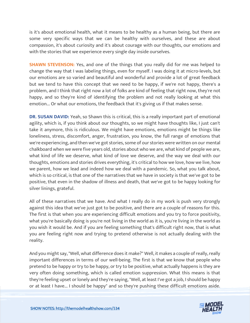is it's about emotional health, what it means to be healthy as a human being, but there are some very specific ways that we can be healthy with ourselves, and these are about compassion, it's about curiosity and it's about courage with our thoughts, our emotions and with the stories that we experience every single day inside ourselves.

**SHAWN STEVENSON:** Yes, and one of the things that you really did for me was helped to change the way that I was labeling things, even for myself. I was doing it at micro-levels, but our emotions are so varied and beautiful and wonderful and provide a lot of great feedback but we tend to have this concept that we need to be happy, if we're not happy, there's a problem, and I think that right now a lot of folks are kind of feeling that right now, they're not happy, and so they're kind of identifying the problem and not really looking at what this emotion... Or what our emotions, the feedback that it's giving us if that makes sense.

**DR. SUSAN DAVID:** Yeah, so Shawn this is critical, this is a really important part of emotional agility, which is, if you think about our thoughts, so we might have thoughts like, I just can't take it anymore, this is ridiculous. We might have emotions, emotions might be things like loneliness, stress, discomfort, anger, frustration, you know, the full range of emotions that we're experiencing, and then we've got stories, some of our stories were written on our mental chalkboard when we were five years old, stories about who we are, what kind of people we are, what kind of life we deserve, what kind of love we deserve, and the way we deal with our thoughts, emotions and stories drives everything, it's critical to how we love, how we live, how we parent, how we lead and indeed how we deal with a pandemic. So, what you talk about, which is so critical, is that one of the narratives that we have in society is that we've got to be positive, that even in the shadow of illness and death, that we've got to be happy looking for silver linings, grateful.

All of these narratives that we have. And what I really do in my work is push very strongly against this idea that we've just got to be positive, and there are a couple of reasons for this. The first is that when you are experiencing difficult emotions and you try to force positivity, what you're basically doing is you're not living in the world as it is, you're living in the world as you wish it would be. And if you are feeling something that's difficult right now, that is what you are feeling right now and trying to pretend otherwise is not actually dealing with the reality.

And you might say, "Well, what difference does it make?" Well, it makes a couple of really, really important differences in terms of our well-being. The first is that we know that people who pretend to be happy or try to be happy, or try to be positive, what actually happens is they are very often doing something, which is called emotion suppression. What this means is that they're feeling upset or lonely and they're saying, "Well, at least I've got a job, I should be happy [or at least I have... I should be happy" and so they](https://themodelhealthshow.com/healthy-mindset/)'[re pushing these difficult emotions aside.](https://themodelhealthshow.com/healthy-mindset/) 

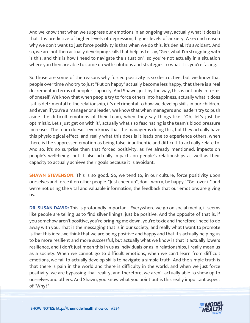And we know that when we suppress our emotions in an ongoing way, actually what it does is that it is predictive of higher levels of depression, higher levels of anxiety. A second reason why we don't want to just force positivity is that when we do this, it's denial. It's avoidant. And so, we are not then actually developing skills that help us to say, "Gee, what I'm struggling with is this, and this is how I need to navigate the situation", so you're not actually in a situation where you then are able to come up with solutions and strategies to what it is you're facing.

So those are some of the reasons why forced positivity is so destructive, but we know that people over time who try to just "Put on happy" actually become less happy, that there is a real decrement in terms of people's capacity. And Shawn, just by the way, this is not only in terms of oneself. We know that when people try to force others into happiness, actually what it does is it is detrimental to the relationship, it's detrimental to how we develop skills in our children, and even if you're a manager or a leader, we know that when managers and leaders try to push aside the difficult emotions of their team, when they say things like, "Oh, let's just be optimistic. Let's just get on with it", actually what's so fascinating is the team's blood pressure increases. The team doesn't even know that the manager is doing this, but they actually have this physiological effect, and really what this does is it leads one to experience others, when there is the suppressed emotion as being false, inauthentic and difficult to actually relate to. And so, it's no surprise then that forced positivity, as I've already mentioned, impacts on people's well-being, but it also actually impacts on people's relationships as well as their capacity to actually achieve their goals because it is avoidant.

**SHAWN STEVENSON:** This is so good. So, we tend to, in our culture, force positivity upon ourselves and force it on other people. "Just cheer up", don't worry, be happy." "Get over it" and we're not using the vital and valuable information, the feedback that our emotions are giving us.

**DR. SUSAN DAVID:** This is profoundly important. Everywhere we go on social media, it seems like people are telling us to find silver linings, just be positive. And the opposite of that is, if you somehow aren't positive, you're bringing me down, you're toxic and therefore I need to do away with you. That is the messaging that is in our society, and really what I want to promote is that this idea, we think that we are being positive and happy and that it's actually helping us to be more resilient and more successful, but actually what we know is that it actually lowers resilience, and I don't just mean this in us as individuals or as in relationships, I really mean us as a society. When we cannot go to difficult emotions, when we can't learn from difficult emotions, we fail to actually develop skills to navigate a simple truth. And the simple truth is that there is pain in the world and there is difficulty in the world, and when we just force positivity, we are bypassing that reality, and therefore, we aren't actually able to show up to ourselves and others. And Shawn, you know what you point out is this really important aspect [of "Why?"](https://themodelhealthshow.com/healthy-mindset/)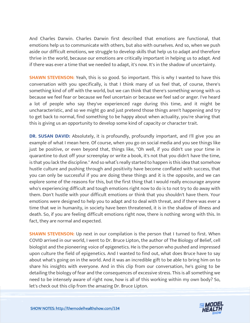And Charles Darwin. Charles Darwin first described that emotions are functional, that emotions help us to communicate with others, but also with ourselves. And so, when we push aside our difficult emotions, we struggle to develop skills that help us to adapt and therefore thrive in the world, because our emotions are critically important in helping us to adapt. And if there was ever a time that we needed to adapt, it's now. It's in the shadow of uncertainty.

**SHAWN STEVENSON:** Yeah, this is so good. So important. This is why I wanted to have this conversation with you specifically, is that I think many of us feel that, of course, there's something kind of off with the world, but we can think that there's something wrong with us because we feel fear or because we feel uncertain or because we feel sad or anger. I've heard a lot of people who say they've experienced rage during this time, and it might be uncharacteristic, and so we might go and just pretend those things aren't happening and try to get back to normal, find something to be happy about when actuality, you're sharing that this is giving us an opportunity to develop some kind of capacity or character trait.

**DR. SUSAN DAVID:** Absolutely, it is profoundly, profoundly important, and I'll give you an example of what I mean here. Of course, when you go on social media and you see things like just be positive, or even beyond that, things like, "Oh well, if you didn't use your time in quarantine to dust off your screenplay or write a book, it's not that you didn't have the time, is that you lack the discipline." And so what's really started to happen is this idea that somehow hustle culture and pushing through and positivity have become conflated with success, that you can only be successful if you are doing these things and it is the opposite, and we can explore some of the reasons for this, but the first thing that I would really encourage anyone who's experiencing difficult and tough emotions right now to do is to not try to do away with them. Don't hustle with your difficult emotions or think that you shouldn't have them. Your emotions were designed to help you to adapt and to deal with threat, and if there was ever a time that we in humanity, in society have been threatened, it is in the shadow of illness and death. So, if you are feeling difficult emotions right now, there is nothing wrong with this. In fact, they are normal and expected.

**SHAWN STEVENSON:** Up next in our compilation is the person that I turned to first. When COVID arrived in our world, I went to Dr. Bruce Lipton, the author of The Biology of Belief, cell biologist and the pioneering voice of epigenetics. He is the person who pushed and impressed upon culture the field of epigenetics. And I wanted to find out, what does Bruce have to say about what's going on in the world. And it was an incredible gift to be able to bring him on to share his insights with everyone. And in this clip from our conversation, he's going to be detailing the biology of fear and the consequences of excessive stress. This is all something we need to be intensely aware of right now, how is all of this working within my own body? So, [let](https://themodelhealthshow.com/healthy-mindset/)'[s check out this clip from the amazing Dr. Bruce Lipton.](https://themodelhealthshow.com/healthy-mindset/)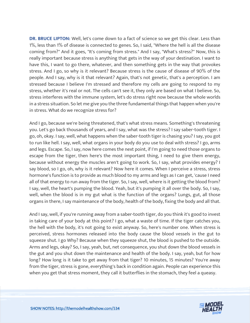**DR. BRUCE LIPTON:** Well, let's come down to a fact of science so we get this clear. Less than 1%, less than 1% of disease is connected to genes. So, I said, "Where the hell is all the disease coming from?" And it goes, "It's coming from stress." And I say, "What's stress?" Now, this is really important because stress is anything that gets in the way of your destination. I want to have this, I want to go there, whatever, and then something gets in the way that provokes stress. And I go, so why is it relevant? Because stress is the cause of disease of 90% of the people. And I say, why is it that relevant? Again, that's not genetic, that's a perception. I am stressed because I believe I'm stressed and therefore my cells are going to respond to my stress, whether it's real or not. The cells can't see it, they only are based on what I believe. So, stress interferes with the immune system, let's do stress right now because the whole worlds in a stress situation. So let me give you the three fundamental things that happen when you're in stress. What do we recognize stress for?

And I go, because we're being threatened, that's what stress means. Something's threatening you. Let's go back thousands of years, and I say, what was the stress? I say saber-tooth tiger. I go, oh, okay. I say, well, what happens when the saber-tooth tiger is chasing you? I say, you got to run like hell. I say, well, what organs in your body do you use to deal with stress? I go, arms and legs. Escape. So, I say, now here comes the next point, if I'm going to need those organs to escape from the tiger, then here's the most important thing, I need to give them energy, because without energy the muscles aren't going to work. So, I say, what provides energy? I say blood, so I go, oh, why is it relevant? Now here it comes. When I perceive a stress, stress hormone's function is to provide as much blood to my arms and legs as I can get, 'cause I need all of that energy to run away from the tiger. So, I say, well, where is it getting the blood from? I say, well, the heart's pumping the blood. Yeah, but it's pumping it all over the body. So, I say, well, when the blood is in my gut what is the function of the organs? Lungs, gut, all those organs in there, I say maintenance of the body, health of the body, fixing the body and all that.

And I say, well, if you're running away from a saber-tooth tiger, do you think it's good to invest in taking care of your body at this point? I go, what a waste of time. If the tiger catches you, the hell with the body, it's not going to exist anyway. So, here's number one. When stress is perceived, stress hormones released into the body cause the blood vessels in the gut to squeeze shut. I go Why? Because when they squeeze shut, the blood is pushed to the outside. Arms and legs, okay? So, I say, yeah, but, net consequence, you shut down the blood vessels in the gut and you shut down the maintenance and health of the body. I say, yeah, but for how long? How long is it take to get away from that tiger? 10 minutes, 15 minutes? You're away from the tiger, stress is gone, everything's back in condition again. People can experience this when you get that stress moment, they call it butterflies in the stomach, they feel a queasy.

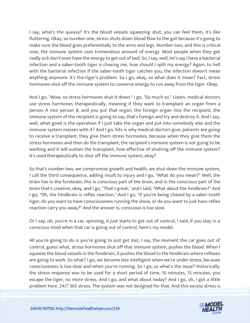I say, what's the queasy? It's the blood vessels squeezing shut, you can feel them, it's like fluttering. Okay, so number one, stress shuts down blood flow to the gut because it's going to make sure the blood goes preferentially to the arms and legs. Number two, and this is critical now, the immune system uses tremendous amount of energy. Most people when they get really sick don't even have the energy to get out of bed. So, I say, well, let's say I have a bacterial infection and a saber-tooth tiger is chasing me, how should I split my energy? Again, to hell with the bacterial infection if the saber-tooth tiger catches you, the infection doesn't mean anything anymore. It's the tiger's problem. So I go, okay, so what does it mean? Fact, stress hormones shut off the immune system to conserve energy to run away from the tiger. Okay.

And I go, "Wow, so stress hormones shut it down." I go, "So much so." Listen, medical doctors use stress hormones therapeutically, meaning if they want to transplant an organ from a person A into person B, and you put that organ, the foreign organ into the recipient, the immune system of the recipient is going to say, that's foreign and try and destroy it. And I say, well, what good is the operation if I just take the organ and put into somebody else and the immune system messes with it? And I go, hits is why medical doctors give, patients are going to receive a transplant, they give them stress hormones, because when they give them the stress hormones and then do the transplant, the recipient's immune system is not going to be working and it will sustain the transplant, how effective of shutting off the immune system? It's used therapeutically to shut off the immune system, okay?

So that's number two, we compromise growth and health, we shut down the immune system, I call the third consequence, adding insult to injury and I go, "What do you mean?" Well, the brain has in the forebrain, this is conscious part of the brain, and in the conscious part of the brain that's creative, okay, and I go, "That's great," and I said, "What about the hindbrain?" And I go, "Oh, the hindbrain is reflex reaction." And I go, "if you're being chased by a saber-tooth tiger, do you want to have consciousness running the show, or do you want to just have reflex reaction carry you away?" And the answer is, conscious is too slow.

Or I say, oh, you're in a car, spinning, it just starts to get out of control, I said, if you stay in a conscious mind when that car is going out of control, here's my model.

All you're going to do is you're going to just get lost, I say, the moment the car goes out of control, guess what, stress hormones shut off that immune system, pushes the blood. When I squeeze the blood vessels in the forebrain, it pushes the blood to the hindbrain where reflexes are going to work. So what? I go, we become less intelligent when we're under stress, because consciousness is too slow and when you're running. So I go, so what's the issue? Historically, the stress response was to be used for a short period of time, 10 minutes, 15 minutes, you escape the tiger, no more stress. And I go, and what about today? And I go, oh, I got a little [problem here. 24/7 365 stress. The system was not designed for that. And this excess stress is](https://themodelhealthshow.com/healthy-mindset/)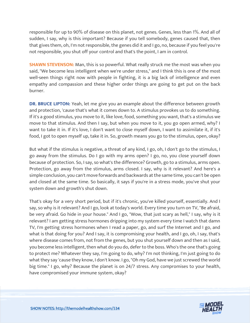responsible for up to 90% of disease on this planet, not genes. Genes, less than 1%. And all of sudden, I say, why is this important? Because if you tell somebody, genes caused that, then that gives them, oh, I'm not responsible, the genes did it and I go, no, because if you feel you're not responsible, you shut off your control and that's the point, I am in control.

**SHAWN STEVENSON:** Man, this is so powerful. What really struck me the most was when you said, "We become less intelligent when we're under stress," and I think this is one of the most well-seen things right now with people in fighting, it is a big lack of intelligence and even empathy and compassion and these higher order things are going to get put on the back burner.

**DR. BRUCE LIPTON:** Yeah, let me give you an example about the difference between growth and protection, 'cause that's what it comes down to. A stimulus provokes us to do something. If it's a good stimulus, you move to it, like love, food, something you want, that's a stimulus we move to that stimulus. And then I say, but when you move to it, you go open armed, why? I want to take it in. If it's love, I don't want to close myself down, I want to assimilate it, if it's food, I got to open myself up, take it in. So, growth means you go to the stimulus, open, okay?

But what if the stimulus is negative, a threat of any kind, I go, oh, I don't go to the stimulus, I go away from the stimulus. Do I go with my arms open? I go, no, you close yourself down because of protection. So, I say, so what's the difference? Growth, go to a stimulus, arms open. Protection, go away from the stimulus, arms closed. I say, why is it relevant? And here's a simple conclusion, you can't move forwards and backwards at the same time, you can't be open and closed at the same time. So basically, it says if you're in a stress mode, you've shut your system down and growth's shut down.

That's okay for a very short period, but if it's chronic, you've killed yourself, essentially. And I say, so why is it relevant? And I go, look at today's world. Every time you turn on TV, "Be afraid, be very afraid. Go hide in your house." And I go, "Wow, that just scary as hell," I say, why is it relevant? I am getting stress hormones dripping into my system every time I watch that damn TV, I'm getting stress hormones when I read a paper, go, and surf the Internet and I go, and what is that doing for you? And I say, it is compromising your health, and I go, oh, I say, that's where disease comes from, not from the genes, but you shut yourself down and then as I said, you become less intelligent, then what do you do, defer to the boss. Who's the one that's going to protect me? Whatever they say, I'm going to do, why? I'm not thinking, I'm just going to do what they say 'cause they know, I don't know. I go, "Oh my God, have we just screwed the world big time." I go, why? Because the planet is on 24/7 stress. Any compromises to your health, have compromised your immune system, okay?

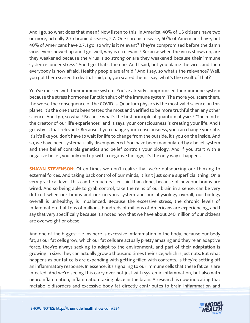And I go, so what does that mean? Now listen to this, in America, 40% of US citizens have two or more, actually 2.7 chronic diseases, 2.7. One chronic disease, 60% of Americans have, but 40% of Americans have 2.7. I go, so why is it relevant? They're compromised before the damn virus even showed up and I go, well, why is it relevant? Because when the virus shows up, are they weakened because the virus is so strong or are they weakened because their immune system is under stress? And I go, that's the one, And I said, but you blame the virus and then everybody is now afraid. Healthy people are afraid." And I say, so what's the relevance? Well, you got them scared to death. I said, oh, you scared them. I say, what's the result of that?

You've messed with their immune system. You've already compromised their immune system because the stress hormones function shut off the immune system. The more you scare them, the worse the consequence of the COVID is. Quantum physics is the most valid science on this planet. It's the one that's been tested the most and verified to be more truthful than any other science. And I go, so what? Because what's the first principle of quantum physics? "The mind is the creator of our life experiences" and it says, your consciousness is creating your life. And I go, why is that relevant? Because if you change your consciousness, you can change your life. It's it's like you don't have to wait for life to change from the outside, it's you on the inside. And so, we have been systematically disempowered. You have been manipulated by a belief system and then belief controls genetics and belief controls your biology. And if you start with a negative belief, you only end up with a negative biology, it's the only way it happens.

**SHAWN STEVENSON:** Often times we don't realize that we're outsourcing our thinking to external forces. And taking back control of our minds, it isn't just some superficial thing. On a very practical level, this can be much easier said than done, because of how our brains are wired. And so being able to grab control, take the reins of our brain in a sense, can be very difficult when our brains and our nervous system and our physiology overall, our biology overall is unhealthy, is imbalanced. Because the excessive stress, the chronic levels of inflammation that tens of millions, hundreds of millions of Americans are experiencing, and I say that very specifically because it's noted now that we have about 240 million of our citizens are overweight or obese.

And one of the biggest tie-ins here is excessive inflammation in the body, because our body fat, as our fat cells grow, which our fat cells are actually pretty amazing and they're an adaptive force, they're always seeking to adapt to the environment, and part of their adaptation is growing in size. They can actually grow a thousand times their size, which is just nuts. But what happens as our fat cells are expanding with getting filled with contents, is they're setting off an inflammatory response. In essence, it's signaling to our immune cells that these fat cells are infected. And we're seeing this carry over not just with systemic inflammation, but also with neuroinflammation, inflammation taking place in the brain. A research is now indicating that [metabolic disorders and excessive body fat directly contributes to brain inflammation and](https://themodelhealthshow.com/healthy-mindset/)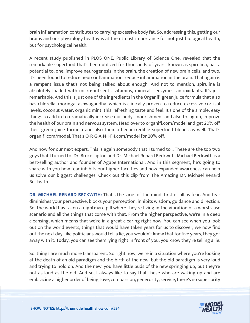brain inflammation contributes to carrying excessive body fat. So, addressing this, getting our brains and our physiology healthy is at the utmost importance for not just biological health, but for psychological health.

A recent study published in PLOS ONE, Public Library of Science One, revealed that the remarkable superfood that's been utilized for thousands of years, known as spirulina, has a potential to, one, improve neurogenesis in the brain, the creation of new brain cells, and two, it's been found to reduce neuro inflammation, reduce inflammation in the brain. That again is a rampant issue that's not being talked about enough. And not to mention, spirulina is absolutely loaded with micro-nutrients, vitamins, minerals, enzymes, antioxidants. It's just remarkable. And this is just one of the ingredients in the Organifi green juice formula that also has chlorella, moringa, ashwagandha, which is clinically proven to reduce excessive cortisol levels, coconut water, organic mint, this refreshing taste and feel. It's one of the simple, easy things to add in to dramatically increase our body's nourishment and also to, again, improve the health of our brain and nervous system. Head over to organifi.com/model and get 20% off their green juice formula and also their other incredible superfood blends as well. That's organifi.com/model. That's O-R-G-A-N-I-F-I.com/model for 20% off.

And now for our next expert. This is again somebody that I turned to... These are the top two guys that I turned to, Dr. Bruce Lipton and Dr. Michael Renard Beckwith. Michael Beckwith is a best-selling author and founder of Agape International. And in this segment, he's going to share with you how fear inhibits our higher faculties and how expanded awareness can help us solve our biggest challenges. Check out this clip from The Amazing Dr. Michael Renard Beckwith.

**DR. MICHAEL RENARD BECKWITH:** That's the virus of the mind, first of all, is fear. And fear diminishes your perspective, blocks your perception, inhibits wisdom, guidance and direction. So, the world has taken a nightmare pill where they're living in the vibration of a worst-case scenario and all the things that come with that. From the higher perspective, we're in a deep cleansing, which means that we're in a great clearing right now. You can see when you look out on the world events, things that would have taken years for us to discover, we now find out the next day, like politicians would tell a lie, you wouldn't know that for five years, they got away with it. Today, you can see them lying right in front of you, you know they're telling a lie.

So, things are much more transparent. So right now, we're in a situation where you're looking at the death of an old paradigm and the birth of the new, but the old paradigm is very loud and trying to hold on. And the new, you have little buds of the new springing up, but they're not as loud as the old. And so, I always like to say that those who are waking up and are embracing a higher order of being, love, compassion, generosity, service, there's no superiority

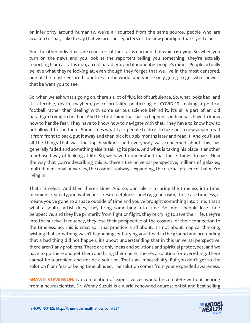or inferiority around humanity, we're all sourced from the same source, people who are awaken to that, I like to say that we are the reporters of the new paradigm that's yet to be.

And the other individuals are reporters of the status quo and that which is dying. So, when you turn on the news and you look at the reporters telling you something, they're actually reporting from a status quo, an old paradigm, and it inundates people's minds. People actually believe what they're looking at, even though they forget that we live in the most censored, one of the most censored countries in the world, and you're only going to get what powers that be want you to see.

So, when we ask what's going on, there's a lot of flux, lot of turbulence. So, what looks bad, and it is terrible, death, mayhem, police brutality, politicizing of COVID-19, making a political football rather than dealing with some serious science behind it, it's all a part of an old paradigm trying to hold on. And the first thing that has to happen is individuals have to know how to handle fear. They have to know how to navigate with that. They have to know how to not allow it to run them. Sometimes what I ask people to do is to take out a newspaper, read it from front to back, put it away and then pick it up six months later and read it. And you'll see all the things that was the top headlines, and everybody was concerned about this, has generally faded and something else is taking its place. And what is taking his place is another fear-based way of looking at life. So, we have to understand that these things do pass. Now the way that you're describing this is, there's the universal perspective, millions of galaxies, multi-dimensional universes, the cosmos is always expanding, the eternal presence that we're living in.

That's timeless. And then there's time. And so, our role is to bring the timeless into time, meaning creativity, innovativeness, resourcefulness, poetry, generosity, those are timeless, it means you've gone to a space outside of time and you've brought something into time. That's what a soulful artist does, they bring something into time. So, most people lose their perspective, and they live primarily from fight or flight, they're trying to save their life, they're into the survival frequency, they lose their perspective of the cosmos, of their connection to the timeless. So, this is what spiritual practice is all about. It's not about magical thinking, wishing that something wasn't happening, or burying your head in the ground and pretending that a bad thing did not happen, it's about understanding that in this universal perspective, there aren't any problems. There are only ideas and solutions and spiritual prototypes, and we have to go there and get them and bring them here. There's a solution for everything. There cannot be a problem and not be a solution. That's an impossibility. But you don't get to the solution from fear or being time blinded. The solution comes from your expanded awareness.

**SHAWN STEVENSON:** No compilation of expert voices would be complete without hearing [from a neuroscientist. Dr. Wendy Suzuki is a world-renowned neuroscientist and best-selling](https://themodelhealthshow.com/healthy-mindset/)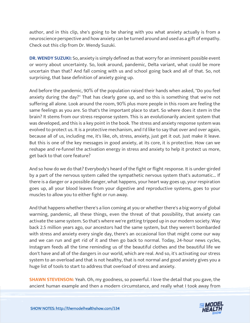author, and in this clip, she's going to be sharing with you what anxiety actually is from a neuroscience perspective and how anxiety can be turned around and used as a gift of empathy. Check out this clip from Dr. Wendy Suzuki.

**DR. WENDY SUZUKI:** So, anxiety is simply defined as that worry for an imminent possible event or worry about uncertainty. So, look around, pandemic, Delta variant, what could be more uncertain than that? And fall coming with us and school going back and all of that. So, not surprising, that base definition of anxiety going up.

And before the pandemic, 90% of the population raised their hands when asked, "Do you feel anxiety during the day?" That has clearly gone up, and so this is something that we're not suffering all alone. Look around the room, 90% plus more people in this room are feeling the same feelings as you are. So that's the important place to start. So where does it stem in the brain? It stems from our stress response system. This is an evolutionarily ancient system that was developed, and this is a key point in the book. The stress and anxiety response system was evolved to protect us. It is a protective mechanism, and I'd like to say that over and over again, because all of us, including me, it's like, oh, stress, anxiety, just get it out. Just make it leave. But this is one of the key messages in good anxiety, at its core, it is protective. How can we reshape and re-funnel the activation energy in stress and anxiety to help it protect us more, get back to that core feature?

And so how do we do that? Everybody's heard of the fight or flight response. It is under-girded by a part of the nervous system called the sympathetic nervous system that's automatic... If there is a danger or a possible danger, what happens, your heart way goes up, your respiration goes up, all your blood leaves from your digestive and reproductive systems, goes to your muscles to allow you to either fight or run away.

And that happens whether there's a lion coming at you or whether there's a big worry of global warming, pandemic, all these things, even the threat of that possibility, that anxiety can activate the same system. So that's where we're getting tripped up in our modern society. Way back 2.5 million years ago, our ancestors had the same system, but they weren't bombarded with stress and anxiety every single day, there's an occasional lion that might come our way and we can run and get rid of it and then go back to normal. Today, 24-hour news cycles, Instagram feeds all the time reminding us of the beautiful clothes and the beautiful life we don't have and all of the dangers in our world, which are real. And so, it's activating our stress system to an overload and that is not healthy, that is not normal and good anxiety gives you a huge list of tools to start to address that overload of stress and anxiety.

**SHAWN STEVENSON:** Yeah. Oh, my goodness, so powerful. I love the detail that you gave, the [ancient human example and then a modern circumstance, and really what I took away from](https://themodelhealthshow.com/healthy-mindset/) 

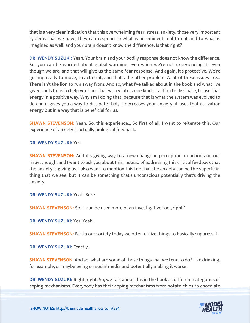that is a very clear indication that this overwhelming fear, stress, anxiety, those very important systems that we have, they can respond to what is an eminent real threat and to what is imagined as well, and your brain doesn't know the difference. Is that right?

**DR. WENDY SUZUKI:** Yeah. Your brain and your bodily response does not know the difference. So, you can be worried about global warming even when we're not experiencing it, even though we are, and that will give us the same fear response. And again, it's protective. We're getting ready to move, to act on it, and that's the other problem. A lot of these issues are... There isn't the lion to run away from. And so, what I've talked about in the book and what I've given tools for is to help you turn that worry into some kind of action to dissipate, to use that energy in a positive way. Why am I doing that, because that is what the system was evolved to do and it gives you a way to dissipate that, it decreases your anxiety, it uses that activation energy but in a way that is beneficial for us.

**SHAWN STEVENSON:** Yeah. So, this experience... So first of all, I want to reiterate this. Our experience of anxiety is actually biological feedback.

**DR. WENDY SUZUKI:** Yes.

**SHAWN STEVENSON:** And it's giving way to a new change in perception, in action and our issue, though, and I want to ask you about this, instead of addressing this critical feedback that the anxiety is giving us, I also want to mention this too that the anxiety can be the superficial thing that we see, but it can be something that's unconscious potentially that's driving the anxiety.

**DR. WENDY SUZUKI:** Yeah. Sure.

**SHAWN STEVENSON:** So, it can be used more of an investigative tool, right?

**DR. WENDY SUZUKI:** Yes. Yeah.

**SHAWN STEVENSON:** But in our society today we often utilize things to basically suppress it.

**DR. WENDY SUZUKI:** Exactly.

**SHAWN STEVENSON:** And so, what are some of those things that we tend to do? Like drinking, for example, or maybe being on social media and potentially making it worse.

**DR. WENDY SUZUKI:** Right, right. So, we talk about this in the book as different categories of [coping mechanisms. Everybody has their coping mechanisms from potato chips to chocolate](https://themodelhealthshow.com/healthy-mindset/) 

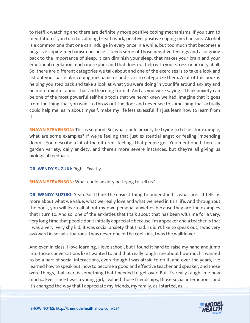to Netflix watching and there are definitely more positive coping mechanisms. If you turn to meditation if you turn to calming breath work, positive, positive coping mechanisms. Alcohol is a common one that one can indulge in every once in a while, but too much that becomes a negative coping mechanism because it feeds some of those negative feelings and also going back to the importance of sleep, it can diminish your sleep, that makes your brain and your emotional regulation much more poor and that does not help with your stress or anxiety at all. So, there are different categories we talk about and one of the exercises is to take a look and list out your particular coping mechanisms and start to categorize them. A lot of this book is helping you step back and take a look at what you were doing in your life around anxiety and be more mindful about that and learning from it. And as you were saying, I think anxiety can be one of the most powerful self-help tools that we never knew we had. Imagine that it goes from the thing that you want to throw out the door and never see to something that actually could help me learn about myself, make my life less stressful if I just learn how to learn from it.

**SHAWN STEVENSON:** This is so good. So, what could anxiety be trying to tell us, for example, what are some examples? If we're feeling that just existential angst or feeling impending doom... You describe a lot of the different feelings that people get. You mentioned there's a garden variety, daily anxiety, and there's more severe instances, but they're all giving us biological feedback.

**DR. WENDY SUZUKI:** Right. Exactly.

#### **SHAWN STEVENSON:** What could anxiety be trying to tell us?

**DR. WENDY SUZUKI:** Yeah. So, I think the easiest thing to understand is what are... It tells us more about what we value, what we really love and what we need in this life. And throughout the book, you will learn all about my own personal anxieties because they are the examples that I turn to. And so, one of the anxieties that I talk about that has been with me for a very, very long time that people don't initially appreciate because I'm a speaker and a teacher is that I was a very, very shy kid, it was social anxiety that I had. I didn't like to speak out, I was very awkward in social situations. I was never one of the cool kids, I was the wallflower.

And even in class, I love learning, I love school, but I found it hard to raise my hand and jump into those conversations like I wanted to and that really taught me about how much I wanted to be a part of social interactions, even though I was afraid to do it, and over the years, I've learned how to speak out, how to become a good and effective teacher and speaker, and those were things, that fear, is something that I needed to get over. But it's really taught me how much... Ever since I was a young girl, I valued those friendships, those social interactions, and [it](https://themodelhealthshow.com/healthy-mindset/)'[s changed the way that I appreciate my friends, my family, as I started, as I...](https://themodelhealthshow.com/healthy-mindset/)

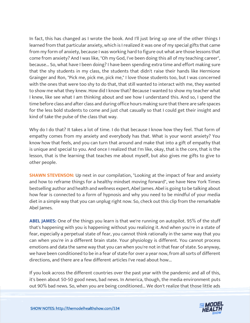In fact, this has changed as I wrote the book. And I'll just bring up one of the other things I learned from that particular anxiety, which is I realized it was one of my special gifts that came from my form of anxiety, because I was working hard to figure out what are those lessons that come from anxiety? And I was like, "Oh my God, I've been doing this all of my teaching career", because... So, what have I been doing? I have been spending extra time and effort making sure that the shy students in my class, the students that didn't raise their hands like Hermione Grainger and Ron, "Pick me, pick me, pick me," I love those students too, but I was concerned with the ones that were too shy to do that, that still wanted to interact with me, they wanted to show me what they knew. How did I know that? Because I wanted to show my teacher what I knew, like see what I am thinking about and see how I understand this. And so, I spend the time before class and after class and during office hours making sure that there are safe spaces for the less bold students to come and just chat casually so that I could get their insight and kind of take the pulse of the class that way.

Why do I do that? It takes a lot of time. I do that because I know how they feel. That form of empathy comes from my anxiety and everybody has that. What is your worst anxiety? You know how that feels, and you can turn that around and make that into a gift of empathy that is unique and special to you. And once I realized that I'm like, okay, that is the core, that is the lesson, that is the learning that teaches me about myself, but also gives me gifts to give to other people.

**SHAWN STEVENSON:** Up next in our compilation, "Looking at the impact of fear and anxiety and how to reframe things for a healthy mindset moving forward", we have New York Times bestselling author and health and wellness expert, Abel James. Abel is going to be talking about how fear is connected to a form of hypnosis and why you need to be mindful of your media diet in a simple way that you can unplug right now. So, check out this clip from the remarkable Abel James.

**ABEL JAMES:** One of the things you learn is that we're running on autopilot. 95% of the stuff that's happening with you is happening without you realizing it. And when you're in a state of fear, especially a perpetual state of fear, you cannot think rationally in the same way that you can when you're in a different brain state. Your physiology is different. You cannot process emotions and data the same way that you can when you're not in that fear of state. So anyway, we have been conditioned to be in a fear of state for over a year now, from all sorts of different directions, and there are a few different articles I've read about how...

If you look across the different countries over the past year with the pandemic and all of this, it's been about 50-50 good news, bad news. In America, though, the media environment puts [out 90% bad news. So, when you are being conditioned... We don](https://themodelhealthshow.com/healthy-mindset/)'[t realize that those little ads](https://themodelhealthshow.com/healthy-mindset/) 

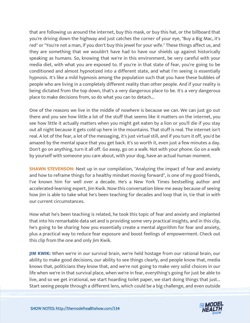that are following us around the internet, buy this mask, or buy this hat, or the billboard that you're driving down the highway and just catches the corner of your eye, "Buy a Big Mac, it's red" or "You're not a man, if you don't buy this jewel for your wife." These things affect us, and they are something that we wouldn't have had to have our shields up against historically speaking as humans. So, knowing that we're in this environment, be very careful with your media diet, with what you are exposed to. If you're in that state of fear, you're going to be conditioned and almost hypnotized into a different state, and what I'm seeing is essentially hypnosis. It's like a mild hypnosis among the population such that you have these bubbles of people who are living in a completely different reality than other people. And if your reality is being dictated from the top down, that's a very dangerous place to be. It's a very dangerous place to make decisions from, so do what you can to detach...

One of the reasons we live in the middle of nowhere is because we can. We can just go out there and you see how little a lot of the stuff that seems like it matters on the internet, you see how little it actually matters when you might get eaten by a lion or you'll die if you stay out all night because it gets cold up here in the mountains. That stuff is real. The internet isn't real. A lot of the fear, a lot of the messaging, it's just virtual still, and if you turn it off, you'd be amazed by the mental space that you get back. It's so worth it, even just a few minutes a day. Don't go on anything, turn it all off. Go away, go on a walk. Not with your phone. Go on a walk by yourself with someone you care about, with your dog, have an actual human moment.

**SHAWN STEVENSON:** Next up in our compilation, "Analyzing the impact of fear and anxiety and how to reframe things for a healthy mindset moving forward", is one of my good friends, I've known him for well over a decade. He's a New York Times bestselling author and accelerated-learning expert, Jim Kwik. Now this conversation blew me away because of seeing how Jim is able to take what he's been teaching for decades and loop that in, tie that in with our current circumstances.

How what he's been teaching is related, he took this topic of fear and anxiety and implanted that into his remarkable data set and is providing some very practical insights, and in this clip, he's going to be sharing how you essentially create a mental algorithm for fear and anxiety, plus a practical way to reduce fear exposure and boost feelings of empowerment. Check out this clip from the one and only Jim Kwik.

**JIM KWIK:** When we're in our survival brain, we're held hostage from our rational brain, our ability to make good decisions, our ability to see things clearly, and people know that, media knows that, politicians they know that, and we're not going to make very solid choices in our life when we're in that survival place, when we're in fear, everything's going for just be able to live, and so we get irrational, we start hoarding toilet paper, we start doing things that just... [Start seeing people through a different lens, which could be a big challenge, and even outside](https://themodelhealthshow.com/healthy-mindset/)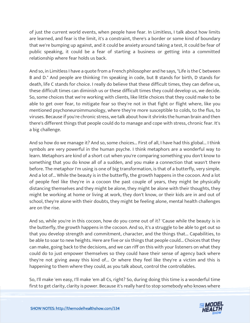of just the current world events, when people have fear. In Limitless, I talk about how limits are learned, and fear is the limit, it's a constraint, there's a border or some kind of boundary that we're bumping up against, and it could be anxiety around taking a test, it could be fear of public speaking, it could be a fear of starting a business or getting into a committed relationship where fear holds us back.

And so, in Limitless I have a quote from a French philosopher and he says, "Life is the C between B and D." And people are thinking I'm speaking in code, but B stands for birth, D stands for death, life C stands for choice. I really do believe that these difficult times, they can define us, these difficult times can diminish us or these difficult times they could develop us, we decide. So, some choices that we're working with clients, like little choices that they could make to be able to get over fear, to mitigate fear so they're not in that fight or flight where, like you mentioned psychoneuroimmunology, where they're more susceptible to colds, to the flus, to viruses. Because if you're chronic stress, we talk about how it shrinks the human brain and then there's different things that people could do to manage and cope with stress, chronic fear. It's a big challenge.

And so how do we manage it? And so, some choices... First of all, I have had this global... I think symbols are very powerful in the human psyche. I think metaphors are a wonderful way to learn. Metaphors are kind of a short cut when you're comparing something you don't know to something that you do know all of a sudden, and you make a connection that wasn't there before. The metaphor I'm using is one of big transformation, is that of a butterfly, very simple. And a lot of... While the beauty is in the butterfly, the growth happens in the cocoon. And a lot of people feel like they're in a cocoon the past couple of years, they might be physically distancing themselves and they might be alone, they might be alone with their thoughts, they might be working at home or living at work, they don't know, or their kids are in and out of school, they're alone with their doubts, they might be feeling alone, mental health challenges are on the rise.

And so, while you're in this cocoon, how do you come out of it? 'Cause while the beauty is in the butterfly, the growth happens in the cocoon. And so, it's a struggle to be able to get out so that you develop strength and commitment, character, and the things that... Capabilities, to be able to soar to new heights. Here are five or six things that people could... Choices that they can make, going back to the decisions, and we can riff on this with your listeners on what they could do to just empower themselves so they could have their sense of agency back where they're not giving away this kind of... Or where they feel like they're a victim and this is happening to them where they could, as you talk about, control the controllables.

So, I'll make 'em easy, I'll make 'em all Cs, right? So, during doing this time is a wonderful time [first to get clarity, clarity is power. Because it](https://themodelhealthshow.com/healthy-mindset/)'[s really hard to stop somebody who knows where](https://themodelhealthshow.com/healthy-mindset/)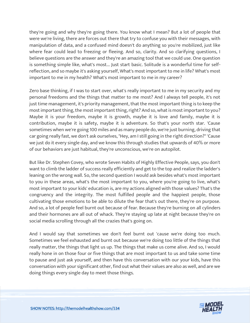they're going and why they're going there. You know what I mean? But a lot of people that were we're living, there are forces out there that try to confuse you with their messages, with manipulation of data, and a confused mind doesn't do anything so you're mobilized, just like where fear could lead to freezing or fleeing. And so, clarity. And so clarifying questions, I believe questions are the answer and they're an amazing tool that we could use. One question is something simple like, what's most... Just start basic. Solitude is a wonderful time for selfreflection, and so maybe it's asking yourself, What's most important to me in life? What's most important to me in my health? What's most important to me in my career?

Zero base thinking, if I was to start over, what's really important to me in my security and my personal freedoms and the things that matter to me most? And I always tell people, it's not just time management, it's priority management, that the most important thing is to keep the most important thing, the most important thing, right? And so, what is most important to you? Maybe it is your freedom, maybe it is growth, maybe it is love and family, maybe it is contribution, maybe it is safety, maybe it is adventure. So that's your north star. 'Cause sometimes when we're going 100 miles and as many people do, we're just burning, driving that car going really fast, we don't ask ourselves, "Hey, am I still going in the right direction?" 'Cause we just do it every single day, and we know this through studies that upwards of 40% or more of our behaviors are just habitual, they're unconscious, we're on autopilot.

But like Dr. Stephen Covey, who wrote Seven Habits of Highly Effective People, says, you don't want to climb the ladder of success really efficiently and get to the top and realize the ladder's leaning on the wrong wall. So, the second question I would ask besides what's most important to you in these areas, what's the most important to you, where you're going to live, what's most important to your kids' education is, are my actions aligned with those values? That's the congruency and the integrity. The most fulfilled people and the happiest people, those cultivating those emotions to be able to dilute the fear that's out there, they're on purpose. And so, a lot of people feel burnt out because of fear. Because they're burning on all cylinders and their hormones are all out of whack. They're staying up late at night because they're on social media scrolling through all the crazies that's going on.

And I would say that sometimes we don't feel burnt out 'cause we're doing too much. Sometimes we feel exhausted and burnt out because we're doing too little of the things that really matter, the things that light us up. The things that make us come alive. And so, I would really hone in on those four or five things that are most important to us and take some time to pause and just ask yourself, and then have this conversation with our your kids, have this conversation with your significant other, find out what their values are also as well, and are we doing things every single day to meet those things.

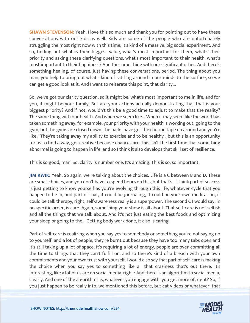**SHAWN STEVENSON:** Yeah, I love this so much and thank you for pointing out to have these conversations with our kids as well. Kids are some of the people who are unfortunately struggling the most right now with this time, it's kind of a massive, big social experiment. And so, finding out what is their biggest value, what's most important for them, what's their priority and asking these clarifying questions, what's most important to their health, what's most important to their happiness? And the same thing with our significant other. And there's something healing, of course, just having these conversations, period. The thing about you man, you help to bring out what's kind of rattling around in our minds to the surface, so we can get a good look at it. And I want to reiterate this point, that clarity...

So, we've got our clarity question, so it might be, what's most important to me in life, and for you, it might be your family. But are your actions actually demonstrating that that is your biggest priority? And if not, wouldn't this be a good time to adjust to make that the reality? The same thing with our health. And when we seem like... When it may seem like the world has taken something away, for example, your priority with your health is working out, going to the gym, but the gyms are closed down, the parks have got the caution tape up around and you're like, "They're taking away my ability to exercise and to be healthy", but this is an opportunity for us to find a way, get creative because chances are, this isn't the first time that something abnormal is going to happen in life, and so I think it also develops that skill set of resilience.

This is so good, man. So, clarity is number one. It's amazing. This is so, so important.

**JIM KWIK:** Yeah. So again, we're talking about the choices. Life is a C between B and D. These are small choices, and you don't have to spend hours on this, but that's... I think part of success is just getting to know yourself as you're evolving through this life, whatever cycle that you happen to be in, and part of that, it could be journaling, it could be your own meditation, it could be talk therapy, right, self-awareness really is a superpower. The second C I would say, in no specific order, is care. Again, something your show is all about. That self-care is not selfish and all the things that we talk about. And it's not just eating the best foods and optimizing your sleep or going to the... Getting body work done, it also is caring.

Part of self-care is realizing when you say yes to somebody or something you're not saying no to yourself, and a lot of people, they're burnt out because they have too many tabs open and it's still taking up a lot of space. It's requiring a lot of energy, people are over-committing all the time to things that they can't fulfill on, and so there's kind of a breach with your own commitments and your own trust with yourself. I would also say that part of self-care is making the choice when you say yes to something like all that craziness that's out there. It's interesting, like a lot of us are on social media, right? And there is an algorithm to social media, clearly. And one of the algorithms is, whatever you engage with, you get more of, right? So, if [you just happen to be really into, we mentioned this before, but cat videos or whatever, that](https://themodelhealthshow.com/healthy-mindset/)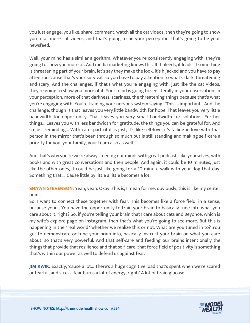you just engage, you like, share, comment, watch all the cat videos, then they're going to show you a lot more cat videos, and that's going to be your perception, that's going to be your newsfeed.

Well, your mind has a similar algorithm. Whatever you're consistently engaging with, they're going to show you more of. And media marketing knows this. If it bleeds, it leads. If something is threatening part of your brain, let's say they make the look, it's hijacked and you have to pay attention 'cause that's your survival, so you have to pay attention to what's dark, threatening and scary. And the challenges, if that's what you're engaging with, just like the cat videos, they're going to show you more of it. Your mind is going to see literally in your observation, in your perception, more of that darkness, scariness, the threatening things because that's what you're engaging with. You're training your nervous system saying, "This is important." And the challenge, though is that leaves you very little bandwidth for hope. That leaves you very little bandwidth for opportunity. That leaves you very small bandwidth for solutions. Further things... Leaves you with less bandwidth for gratitude, the things you can be grateful for. And so just reminding... With care, part of it is just, it's like self-love, it's falling in love with that person in the mirror that's been through so much but is still standing and making self-care a priority for you, your family, your team also as well.

And that's why you're we're always feeding our minds with great podcasts like yourselves, with books and with great conversations and then people. And again, it could be 10 minutes, just like the other ones, it could be just like going for a 10-minute walk with your dog that day. Something that... 'Cause little by little a little becomes a lot.

**SHAWN STEVENSON:** Yeah, yeah. Okay. This is, I mean for me, obviously, this is like my center point.

So, I want to connect these together with fear. This becomes like a force field, in a sense, because your... You have the opportunity to train your brain to basically tune into what you care about it, right? So, if you're telling your brain that I care about cats and Beyonce, which is my wife's explore page on Instagram, then that's what you're going to see more. But this is happening in the "real world" whether we realize this or not. What are you tuned in to? You get to demonstrate or tune your brain into, basically instruct your brain on what you care about, so that's very powerful. And that self-care and feeding our brains intentionally the things that provide that resilience and that self-care, that force field of positivity is something that's within our power as well to defend us against fear.

**JIM KWIK:** Exactly, 'cause a lot... There's a huge cognitive load that's spent when we're scared or fearful, and stress, fear burns a lot of energy, right? A lot of brain glucose.

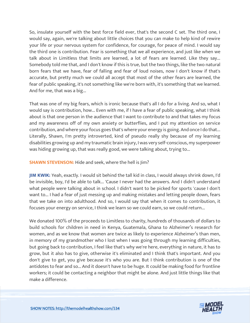So, insulate yourself with the best force field ever, that's the second C set. The third one, I would say, again, we're talking about little choices that you can make to help kind of rewire your life or your nervous system for confidence, for courage, for peace of mind. I would say the third one is contribution. Fear is something that we all experience, and just like when we talk about in Limitless that limits are learned, a lot of fears are learned. Like they say... Somebody told me that, and I don't know if this is true, but the two things, like the two natural born fears that we have, fear of falling and fear of loud noises, now I don't know if that's accurate, but pretty much we could all accept that most of the other fears are learned, the fear of public speaking, it's not something like we're born with, it's something that we learned. And for me, that was a big...

That was one of my big fears, which is ironic because that's all I do for a living. And so, what I would say is contribution, how... Even with me, if I have a fear of public speaking, what I think about is that one person in the audience that I want to contribute to and that takes my focus and my awareness off of my own anxiety or butterflies, and I put my attention on service contribution, and where your focus goes that's where your energy is going. And once I do that... Literally, Shawn, I'm pretty introverted, kind of pseudo really shy because of my learning disabilities growing up and my traumatic brain injury, I was very self-conscious, my superpower was hiding growing up, that was really good, we were talking about, trying to...

### **SHAWN STEVENSON:** Hide and seek, where the hell is Jim?

**JIM KWIK:** Yeah, exactly. I would sit behind the tall kid in class, I would always shrink down, I'd be invisible, boy, I'd be able to talk... 'Cause I never had the answers. And I didn't understand what people were talking about in school. I didn't want to be picked for sports 'cause I don't want to... I had a fear of just messing up and making mistakes and letting people down, fears that we take on into adulthood. And so, I would say that when it comes to contribution, it focuses your energy on service, I think we learn so we could earn, so we could return...

We donated 100% of the proceeds to Limitless to charity, hundreds of thousands of dollars to build schools for children in need in Kenya, Guatemala, Ghana to Alzheimer's research for women, and as we know that women are twice as likely to experience Alzheimer's than men, in memory of my grandmother who I lost when I was going through my learning difficulties, but going back to contribution, I feel like that's why we're here, everything in nature, it has to grow, but it also has to give, otherwise it's eliminated and I think that's important. And you don't give to get, you give because it's who you are. But I think contribution is one of the antidotes to fear and so... And it doesn't have to be huge. It could be making food for frontline workers; it could be contacting a neighbor that might be alone. And just little things like that make a difference.

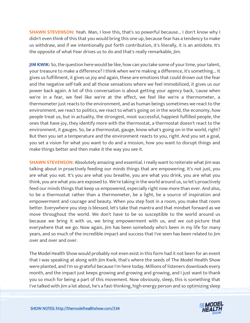**SHAWN STEVENSON:** Yeah. Man, I love this, that's so powerful because... I don't know why I didn't even think of this that you would bring this one up, because fear has a tendency to make us withdraw, and if we intentionally put forth contribution, it's literally, it is an antidote. It's the opposite of what Fear drives us to do and that's really remarkable, Jim.

**JIM KWIK:** So, the question here would be like, how can you take some of your time, your talent, your treasure to make a difference? I think when we're making a difference, it's something... It gives us fulfillment, it gives us joy and again, these are emotions that could drown out the fear and the negative self-talk and all those sensations where we feel immobilized, it gives us our power back again. A lot of this conversation is about getting your agency back, 'cause when we're in a fear, we feel like we're at the effect, we feel like we're a thermometer, a thermometer just reacts to the environment, and as human beings sometimes we react to the environment, we react to politics, we react to what's going on in the world, the economy, how people treat us, but in actuality, the strongest, most successful, happiest fulfilled people, the ones that have joy, they identify more with the thermostat, a thermostat doesn't react to the environment, it gauges. So, be a thermostat, gauge, know what's going on in the world, right? But then you set a temperature and the environment reacts to you, right. And you set a goal, you set a vision for what you want to do and a mission, how you want to disrupt things and make things better and then make it the way you see it.

**SHAWN STEVENSON:** Absolutely amazing and essential. I really want to reiterate what Jim was talking about in proactively feeding our minds things that are empowering. It's not just, you are what you eat. It's you are what you breathe, you are what you drink, you are what you think, you are what you are exposed to. We're taking in the world around us, so let's proactively feed our minds things that keep us empowered, especially right now more than ever. And also, to be a thermostat rather than a thermometer, be a light, be a source of inspiration and empowerment and courage and beauty. When you step foot in a room, you make that room better. Everywhere you step is blessed, let's take that mantra and that mindset forward as we move throughout the world. We don't have to be so susceptible to the world around us because we bring it with us, we bring empowerment with us, and we out-picture that everywhere that we go. Now again, Jim has been somebody who's been in my life for many years, and so much of the incredible impact and success that I've seen has been related to Jim over and over and over.

The Model Health Show would probably not even exist in this form had it not been for an event that I was speaking at along with Jim Kwik, that's where the seeds of The Model Health Show were planted, and I'm so grateful because I'm here today. Millions of listeners downloads every month, and the impact just keeps growing and growing and growing, and I just want to thank you so much for being a part of this movement. Now obviously, sleep, this is something that [I](https://themodelhealthshow.com/healthy-mindset/)'[ve talked with Jim a lot about, he](https://themodelhealthshow.com/healthy-mindset/)'[s a fast-thinking, high energy person and so optimizing sleep](https://themodelhealthshow.com/healthy-mindset/)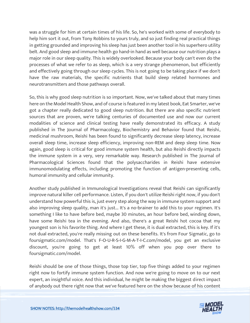was a struggle for him at certain times of his life. So, he's worked with some of everybody to help him sort it out, from Tony Robbins to yours truly, and so just finding real practical things in getting grounded and improving his sleep has just been another tool in his superhero utility belt. And good sleep and immune health go hand-in hand as well because our nutrition plays a major role in our sleep quality. This is widely overlooked. Because your body can't even do the processes of what we refer to as sleep, which is a very strange phenomenon, but efficiently and effectively going through our sleep cycles. This is not going to be taking place if we don't have the raw materials, the specific nutrients that build sleep related hormones and neurotransmitters and those pathways overall.

So, this is why good sleep nutrition is so important. Now, we've talked about that many times here on the Model Health Show, and of course is featured in my latest book, Eat Smarter, we've got a chapter really dedicated to good sleep nutrition. But there are also specific nutrient sources that are proven, we're talking centuries of documented use and now our current modalities of science and clinical testing have really demonstrated its efficacy. A study published in The Journal of Pharmacology, Biochemistry and Behavior found that Reishi, medicinal mushroom, Reishi has been found to significantly decrease sleep latency, increase overall sleep time, increase sleep efficiency, improving non-REM and deep sleep time. Now again, good sleep is critical for good immune system health, but also Reishi directly impacts the immune system in a very, very remarkable way. Research published in The Journal of Pharmacological Sciences found that the polysaccharides in Reishi have extensive immunomodulating effects, including promoting the function of antigen-presenting cells, humoral immunity and cellular immunity.

Another study published in Immunological Investigations reveal that Reishi can significantly improve natural killer cell performance. Listen, if you don't utilize Reishi right now, if you don't understand how powerful this is, just every step along the way in immune system support and also improving sleep quality, man it's just... It's a no-brainer to add this to your regimen. It's something I like to have before bed, maybe 30 minutes, an hour before bed, winding down, have some Reishi tea in the evening. And also, there's a great Reishi hot cocoa that my youngest son is his favorite thing. And where I get these, it is dual extracted, this is key. If it's not dual extracted, you're really missing out on these benefits. It's from Four Sigmatic, go to foursigmatic.com/model. That's F-O-U-R-S-I-G-M-A-T-I-C.com/model, you get an exclusive discount, you're going to get at least 10% off when you pop over there to foursigmatic.com/model.

Reishi should be one of those things, those top tier, top five things added to your regimen right now to fortify immune system function. And now we're going to move on to our next expert, an insightful voice. And this individual, he might be making the biggest direct impact [of anybody out there right now that we](https://themodelhealthshow.com/healthy-mindset/)'[ve featured here on the show because of his content](https://themodelhealthshow.com/healthy-mindset/)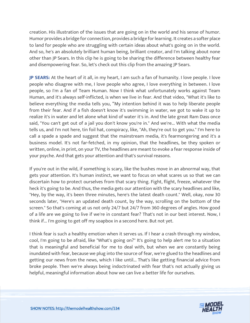creation. His illustration of the issues that are going on in the world and his sense of humor. Humor provides a bridge for connection, provides a bridge for learning. It creates a softer place to land for people who are struggling with certain ideas about what's going on in the world. And so, he's an absolutely brilliant human being, brilliant creator, and I'm talking about none other than JP Sears. In this clip he is going to be sharing the difference between healthy fear and disempowering fear. So, let's check out this clip from the amazing JP Sears.

**JP SEARS:** At the heart of it all, in my heart, I am such a fan of humanity. I love people. I love people who disagree with me, I love people who agree, I love everything in between. I love people, so I'm a fan of Team Human. Now I think what unfortunately works against Team Human, and it's always self-inflicted, is when we live in fear. And that video, "What it's like to believe everything the media tells you, "My intention behind it was to help liberate people from their fear. And if a fish doesn't know it's swimming in water, we got to wake it up to realize it's in water and let alone what kind of water it's in. And the late great Ram Dass once said, "You can't get out of a jail you don't know you're in." And we're... With what the media tells us, and I'm not here, tin foil hat, conspiracy, like, "Ah, they're out to get you." I'm here to call a spade a spade and suggest that the mainstream media, it's fearmongering and it's a business model. It's not far-fetched, in my opinion, that the headlines, be they spoken or written, online, in print, on your TV, the headlines are meant to evoke a fear response inside of your psyche. And that gets your attention and that's survival reasons.

If you're out in the wild, if something is scary, like the bushes move in an abnormal way, that gets your attention. It's human instinct, we want to focus on what scares us so that we can discertain how to protect ourselves from that scary thing. Fight, flight, freeze, whatever the heck it's going to be. And thus, the media gets our attention with the scary headlines and like, "Hey, by the way, it's been three minutes, here's the latest death count." Well, okay, now 30 seconds later, "Here's an updated death count, by the way, scrolling on the bottom of the screen." So that's coming at us not only 24/7 but 24/7 from 360 degrees of angles. How good of a life are we going to live if we're in constant fear? That's not in our best interest. Now, I think if... I'm going to get off my soapbox in a second here. But not yet.

I think fear is such a healthy emotion when it serves us. If I hear a crash through my window, cool, I'm going to be afraid, like "What's going on?" It's going to help alert me to a situation that is meaningful and beneficial for me to deal with, but when we are constantly being inundated with fear, because we plug into the source of fear, we're glued to the headlines and getting our news from the news, which I like until... That's like getting financial advice from broke people. Then we're always being indoctrinated with fear that's not actually giving us helpful, meaningful information about how we can live a better life for ourselves.

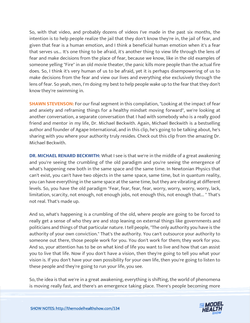So, with that video, and probably dozens of videos I've made in the past six months, the intention is to help people realize the jail that they don't know they're in, the jail of fear, and given that fear is a human emotion, and I think a beneficial human emotion when it's a fear that serves us... It's one thing to be afraid, it's another thing to view life through the lens of fear and make decisions from the place of fear, because we know, like in the old examples of someone yelling "Fire" in an old movie theater, the panic kills more people than the actual fire does. So, I think it's very human of us to be afraid, yet it is perhaps disempowering of us to make decisions from the fear and view our lives and everything else exclusively through the lens of fear. So yeah, men, I'm doing my best to help people wake up to the fear that they don't know they're swimming in.

**SHAWN STEVENSON:** For our final segment in this compilation, "Looking at the impact of fear and anxiety and reframing things for a healthy mindset moving forward", we're looking at another conversation, a separate conversation that I had with somebody who is a really good friend and mentor in my life, Dr. Michael Beckwith. Again, Michael Beckwith is a bestselling author and founder of Agape International, and in this clip, he's going to be talking about, he's sharing with you where your authority truly resides. Check out this clip from the amazing Dr. Michael Beckwith.

**DR. MICHAEL RENARD BECKWITH:** What I see is that we're in the middle of a great awakening and you're seeing the crumbling of the old paradigm and you're seeing the emergence of what's happening new both in the same space and the same time. In Newtonian Physics that can't exist, you can't have two objects in the same space, same time, but in quantum reality, you can have everything in the same space at the same time, but they are vibrating at different levels. So, you have the old paradigm "Fear, fear, fear, fear, worry, worry, worry, worry, lack, limitation, scarcity, not enough, not enough jobs, not enough this, not enough that... " That's not real. That's made up.

And so, what's happening is a crumbling of the old, where people are going to be forced to really get a sense of who they are and stop leaning on external things like governments and politicians and things of that particular nature. I tell people, "The only authority you have is the authority of your own conviction." That's the authority. You can't outsource your authority to someone out there, those people work for you. You don't work for them; they work for you. And so, your attention has to be on what kind of life you want to live and how that can assist you to live that life. Now if you don't have a vision, then they're going to tell you what your vision is. If you don't have your own possibility for your own life, then you're going to listen to these people and they're going to run your life, you see.

So, the idea is that we're in a great awakening, everything is shifting, the world of phenomena [is moving really fast, and there](https://themodelhealthshow.com/healthy-mindset/)'[s an emergence taking place. There](https://themodelhealthshow.com/healthy-mindset/)'[s people becoming more](https://themodelhealthshow.com/healthy-mindset/)